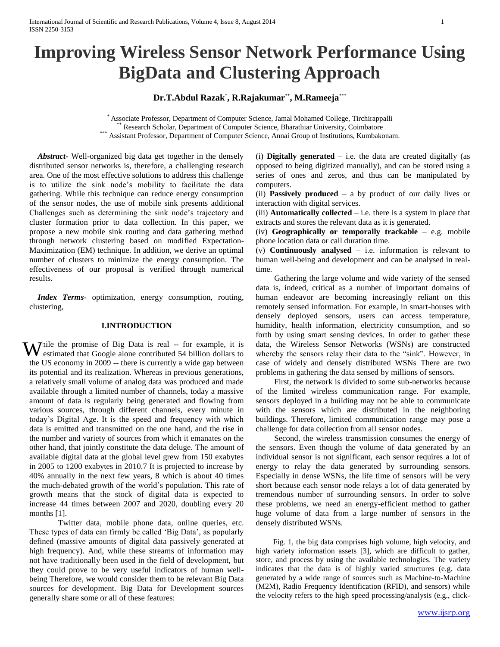# **Improving Wireless Sensor Network Performance Using BigData and Clustering Approach**

**Dr.T.Abdul Razak**\* **, R.Rajakumar**\*\* **, M.Rameeja**\*\*\*

\* Associate Professor, Department of Computer Science, Jamal Mohamed College, Tirchirappalli \*\* Research Scholar, Department of Computer Science, Bharathiar University, Coimbatore \*\*\* Assistant Professor, Department of Computer Science, Annai Group of Institutions, Kumbakonam.

 *Abstract-* Well-organized big data get together in the densely distributed sensor networks is, therefore, a challenging research area. One of the most effective solutions to address this challenge is to utilize the sink node's mobility to facilitate the data gathering. While this technique can reduce energy consumption of the sensor nodes, the use of mobile sink presents additional Challenges such as determining the sink node's trajectory and cluster formation prior to data collection. In this paper, we propose a new mobile sink routing and data gathering method through network clustering based on modified Expectation-Maximization (EM) technique. In addition, we derive an optimal number of clusters to minimize the energy consumption. The effectiveness of our proposal is verified through numerical results.

 *Index Terms*- optimization, energy consumption, routing, clustering,

## **I.INTRODUCTION**

 $\sum$  Thile the promise of Big Data is real -- for example, it is While the promise of Big Data is real -- for example, it is estimated that Google alone contributed 54 billion dollars to the US economy in 2009 -- there is currently a wide gap between its potential and its realization. Whereas in previous generations, a relatively small volume of analog data was produced and made available through a limited number of channels, today a massive amount of data is regularly being generated and flowing from various sources, through different channels, every minute in today's Digital Age. It is the speed and frequency with which data is emitted and transmitted on the one hand, and the rise in the number and variety of sources from which it emanates on the other hand, that jointly constitute the data deluge. The amount of available digital data at the global level grew from 150 exabytes in 2005 to 1200 exabytes in 2010.7 It is projected to increase by 40% annually in the next few years, 8 which is about 40 times the much-debated growth of the world's population. This rate of growth means that the stock of digital data is expected to increase 44 times between 2007 and 2020, doubling every 20 months [1].

Twitter data, mobile phone data, online queries, etc. These types of data can firmly be called 'Big Data', as popularly defined (massive amounts of digital data passively generated at high frequency). And, while these streams of information may not have traditionally been used in the field of development, but they could prove to be very useful indicators of human wellbeing Therefore, we would consider them to be relevant Big Data sources for development. Big Data for Development sources generally share some or all of these features:

(i) **Digitally generated** – i.e. the data are created digitally (as opposed to being digitized manually), and can be stored using a series of ones and zeros, and thus can be manipulated by computers.

(ii) **Passively produced** – a by product of our daily lives or interaction with digital services.

(iii) **Automatically collected** – i.e. there is a system in place that extracts and stores the relevant data as it is generated.

(iv) **Geographically or temporally trackable** – e.g. mobile phone location data or call duration time.

(v) **Continuously analysed** – i.e. information is relevant to human well-being and development and can be analysed in realtime.

 Gathering the large volume and wide variety of the sensed data is, indeed, critical as a number of important domains of human endeavor are becoming increasingly reliant on this remotely sensed information. For example, in smart-houses with densely deployed sensors, users can access temperature, humidity, health information, electricity consumption, and so forth by using smart sensing devices. In order to gather these data, the Wireless Sensor Networks (WSNs) are constructed whereby the sensors relay their data to the "sink". However, in case of widely and densely distributed WSNs There are two problems in gathering the data sensed by millions of sensors.

 First, the network is divided to some sub-networks because of the limited wireless communication range. For example, sensors deployed in a building may not be able to communicate with the sensors which are distributed in the neighboring buildings. Therefore, limited communication range may pose a challenge for data collection from all sensor nodes.

 Second, the wireless transmission consumes the energy of the sensors. Even though the volume of data generated by an individual sensor is not significant, each sensor requires a lot of energy to relay the data generated by surrounding sensors. Especially in dense WSNs, the life time of sensors will be very short because each sensor node relays a lot of data generated by tremendous number of surrounding sensors. In order to solve these problems, we need an energy-efficient method to gather huge volume of data from a large number of sensors in the densely distributed WSNs.

 Fig. 1, the big data comprises high volume, high velocity, and high variety information assets [3], which are difficult to gather, store, and process by using the available technologies. The variety indicates that the data is of highly varied structures (e.g. data generated by a wide range of sources such as Machine-to-Machine (M2M), Radio Frequency Identification (RFID), and sensors) while the velocity refers to the high speed processing/analysis (e.g., click-

[www.ijsrp.org](http://ijsrp.org/)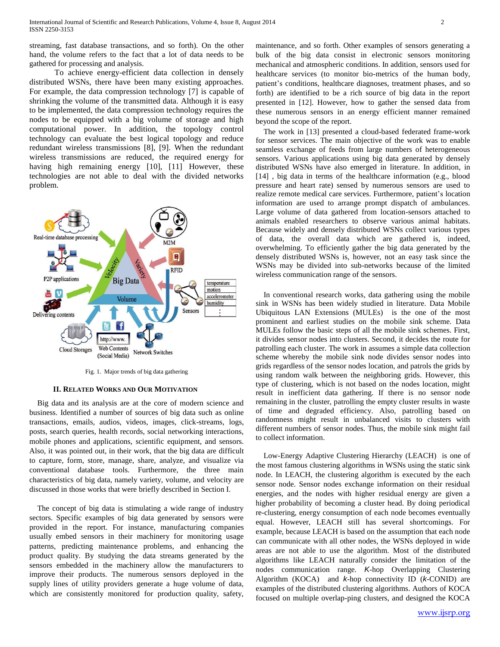streaming, fast database transactions, and so forth). On the other hand, the volume refers to the fact that a lot of data needs to be gathered for processing and analysis.

 To achieve energy-efficient data collection in densely distributed WSNs, there have been many existing approaches. For example, the data compression technology [7] is capable of shrinking the volume of the transmitted data. Although it is easy to be implemented, the data compression technology requires the nodes to be equipped with a big volume of storage and high computational power. In addition, the topology control technology can evaluate the best logical topology and reduce redundant wireless transmissions [8], [9]. When the redundant wireless transmissions are reduced, the required energy for having high remaining energy [10], [11] However, these technologies are not able to deal with the divided networks problem.



Fig. 1. Major trends of big data gathering

# **II. RELATED WORKS AND OUR MOTIVATION**

Big data and its analysis are at the core of modern science and business. Identified a number of sources of big data such as online transactions, emails, audios, videos, images, click-streams, logs, posts, search queries, health records, social networking interactions, mobile phones and applications, scientific equipment, and sensors. Also, it was pointed out, in their work, that the big data are difficult to capture, form, store, manage, share, analyze, and visualize via conventional database tools. Furthermore, the three main characteristics of big data, namely variety, volume, and velocity are discussed in those works that were briefly described in Section I.

The concept of big data is stimulating a wide range of industry sectors. Specific examples of big data generated by sensors were provided in the report. For instance, manufacturing companies usually embed sensors in their machinery for monitoring usage patterns, predicting maintenance problems, and enhancing the product quality. By studying the data streams generated by the sensors embedded in the machinery allow the manufacturers to improve their products. The numerous sensors deployed in the supply lines of utility providers generate a huge volume of data, which are consistently monitored for production quality, safety,

maintenance, and so forth. Other examples of sensors generating a bulk of the big data consist in electronic sensors monitoring mechanical and atmospheric conditions. In addition, sensors used for healthcare services (to monitor bio-metrics of the human body, patient's conditions, healthcare diagnoses, treatment phases, and so forth) are identified to be a rich source of big data in the report presented in [12]. However, how to gather the sensed data from these numerous sensors in an energy efficient manner remained beyond the scope of the report.

The work in [13] presented a cloud-based federated frame-work for sensor services. The main objective of the work was to enable seamless exchange of feeds from large numbers of heterogeneous sensors. Various applications using big data generated by densely distributed WSNs have also emerged in literature. In addition, in [14], big data in terms of the healthcare information (e.g., blood pressure and heart rate) sensed by numerous sensors are used to realize remote medical care services. Furthermore, patient's location information are used to arrange prompt dispatch of ambulances. Large volume of data gathered from location-sensors attached to animals enabled researchers to observe various animal habitats. Because widely and densely distributed WSNs collect various types of data, the overall data which are gathered is, indeed, overwhelming. To efficiently gather the big data generated by the densely distributed WSNs is, however, not an easy task since the WSNs may be divided into sub-networks because of the limited wireless communication range of the sensors.

In conventional research works, data gathering using the mobile sink in WSNs has been widely studied in literature. Data Mobile Ubiquitous LAN Extensions (MULEs) is the one of the most prominent and earliest studies on the mobile sink scheme. Data MULEs follow the basic steps of all the mobile sink schemes. First, it divides sensor nodes into clusters. Second, it decides the route for patrolling each cluster. The work in assumes a simple data collection scheme whereby the mobile sink node divides sensor nodes into grids regardless of the sensor nodes location, and patrols the grids by using random walk between the neighboring grids. However, this type of clustering, which is not based on the nodes location, might result in inefficient data gathering. If there is no sensor node remaining in the cluster, patrolling the empty cluster results in waste of time and degraded efficiency. Also, patrolling based on randomness might result in unbalanced visits to clusters with different numbers of sensor nodes. Thus, the mobile sink might fail to collect information.

Low-Energy Adaptive Clustering Hierarchy (LEACH) is one of the most famous clustering algorithms in WSNs using the static sink node. In LEACH, the clustering algorithm is executed by the each sensor node. Sensor nodes exchange information on their residual energies, and the nodes with higher residual energy are given a higher probability of becoming a cluster head. By doing periodical re-clustering, energy consumption of each node becomes eventually equal. However, LEACH still has several shortcomings. For example, because LEACH is based on the assumption that each node can communicate with all other nodes, the WSNs deployed in wide areas are not able to use the algorithm. Most of the distributed algorithms like LEACH naturally consider the limitation of the nodes communication range. *K*-hop Overlapping Clustering Algorithm (KOCA) and *k*-hop connectivity ID (*k*-CONID) are examples of the distributed clustering algorithms. Authors of KOCA focused on multiple overlap-ping clusters, and designed the KOCA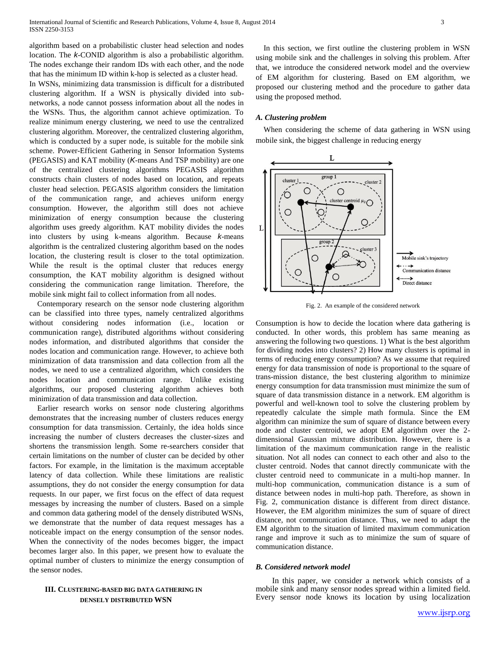algorithm based on a probabilistic cluster head selection and nodes location. The *k*-CONID algorithm is also a probabilistic algorithm. The nodes exchange their random IDs with each other, and the node that has the minimum ID within k-hop is selected as a cluster head.

In WSNs, minimizing data transmission is difficult for a distributed clustering algorithm. If a WSN is physically divided into subnetworks, a node cannot possess information about all the nodes in the WSNs. Thus, the algorithm cannot achieve optimization. To realize minimum energy clustering, we need to use the centralized clustering algorithm. Moreover, the centralized clustering algorithm, which is conducted by a super node, is suitable for the mobile sink scheme. Power-Efficient Gathering in Sensor Information Systems (PEGASIS) and KAT mobility (*K*-means And TSP mobility) are one of the centralized clustering algorithms PEGASIS algorithm constructs chain clusters of nodes based on location, and repeats cluster head selection. PEGASIS algorithm considers the limitation of the communication range, and achieves uniform energy consumption. However, the algorithm still does not achieve minimization of energy consumption because the clustering algorithm uses greedy algorithm. KAT mobility divides the nodes into clusters by using k-means algorithm. Because *k*-means algorithm is the centralized clustering algorithm based on the nodes location, the clustering result is closer to the total optimization. While the result is the optimal cluster that reduces energy consumption, the KAT mobility algorithm is designed without considering the communication range limitation. Therefore, the mobile sink might fail to collect information from all nodes.

Contemporary research on the sensor node clustering algorithm can be classified into three types, namely centralized algorithms without considering nodes information (i.e., location or communication range), distributed algorithms without considering nodes information, and distributed algorithms that consider the nodes location and communication range. However, to achieve both minimization of data transmission and data collection from all the nodes, we need to use a centralized algorithm, which considers the nodes location and communication range. Unlike existing algorithms, our proposed clustering algorithm achieves both minimization of data transmission and data collection.

Earlier research works on sensor node clustering algorithms demonstrates that the increasing number of clusters reduces energy consumption for data transmission. Certainly, the idea holds since increasing the number of clusters decreases the cluster-sizes and shortens the transmission length. Some re-searchers consider that certain limitations on the number of cluster can be decided by other factors. For example, in the limitation is the maximum acceptable latency of data collection. While these limitations are realistic assumptions, they do not consider the energy consumption for data requests. In our paper, we first focus on the effect of data request messages by increasing the number of clusters. Based on a simple and common data gathering model of the densely distributed WSNs, we demonstrate that the number of data request messages has a noticeable impact on the energy consumption of the sensor nodes. When the connectivity of the nodes becomes bigger, the impact becomes larger also. In this paper, we present how to evaluate the optimal number of clusters to minimize the energy consumption of the sensor nodes.

# **III. CLUSTERING-BASED BIG DATA GATHERING IN DENSELY DISTRIBUTED WSN**

In this section, we first outline the clustering problem in WSN using mobile sink and the challenges in solving this problem. After that, we introduce the considered network model and the overview of EM algorithm for clustering. Based on EM algorithm, we proposed our clustering method and the procedure to gather data using the proposed method.

# *A. Clustering problem*

When considering the scheme of data gathering in WSN using mobile sink, the biggest challenge in reducing energy



Fig. 2. An example of the considered network

Consumption is how to decide the location where data gathering is conducted. In other words, this problem has same meaning as answering the following two questions. 1) What is the best algorithm for dividing nodes into clusters? 2) How many clusters is optimal in terms of reducing energy consumption? As we assume that required energy for data transmission of node is proportional to the square of trans-mission distance, the best clustering algorithm to minimize energy consumption for data transmission must minimize the sum of square of data transmission distance in a network. EM algorithm is powerful and well-known tool to solve the clustering problem by repeatedly calculate the simple math formula. Since the EM algorithm can minimize the sum of square of distance between every node and cluster centroid, we adopt EM algorithm over the 2 dimensional Gaussian mixture distribution. However, there is a limitation of the maximum communication range in the realistic situation. Not all nodes can connect to each other and also to the cluster centroid. Nodes that cannot directly communicate with the cluster centroid need to communicate in a multi-hop manner. In multi-hop communication, communication distance is a sum of distance between nodes in multi-hop path. Therefore, as shown in Fig. 2, communication distance is different from direct distance. However, the EM algorithm minimizes the sum of square of direct distance, not communication distance. Thus, we need to adapt the EM algorithm to the situation of limited maximum communication range and improve it such as to minimize the sum of square of communication distance.

#### *B. Considered network model*

 In this paper, we consider a network which consists of a mobile sink and many sensor nodes spread within a limited field. Every sensor node knows its location by using localization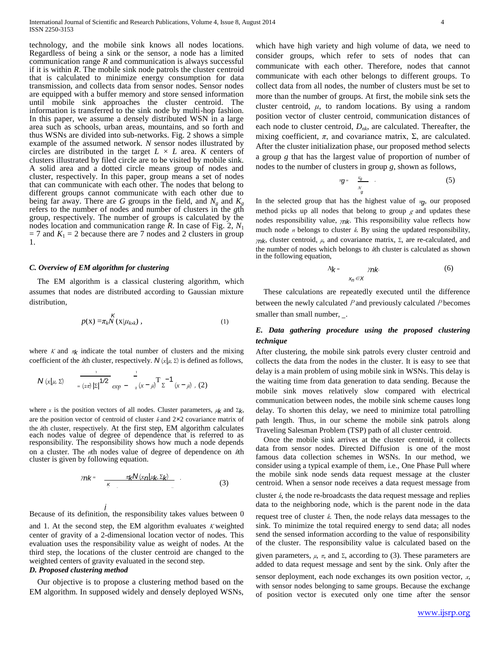technology, and the mobile sink knows all nodes locations. Regardless of being a sink or the sensor, a node has a limited communication range *R* and communication is always successful if it is within *R*. The mobile sink node patrols the cluster centroid that is calculated to minimize energy consumption for data transmission, and collects data from sensor nodes. Sensor nodes are equipped with a buffer memory and store sensed information until mobile sink approaches the cluster centroid. The information is transferred to the sink node by multi-hop fashion. In this paper, we assume a densely distributed WSN in a large area such as schools, urban areas, mountains, and so forth and thus WSNs are divided into sub-networks. Fig. 2 shows a simple example of the assumed network. *N* sensor nodes illustrated by circles are distributed in the target  $L \times L$  area. *K* centers of clusters illustrated by filed circle are to be visited by mobile sink. A solid area and a dotted circle means group of nodes and cluster, respectively. In this paper, group means a set of nodes that can communicate with each other. The nodes that belong to different groups cannot communicate with each other due to being far away. There are *G* groups in the field, and  $N_g$  and  $K_g$ refers to the number of nodes and number of clusters in the *g*th group, respectively. The number of groups is calculated by the nodes location and communication range *R*. In case of Fig. 2, *N*<sup>1</sup>  $= 7$  and  $K_1 = 2$  because there are 7 nodes and 2 clusters in group 1.

#### *C. Overview of EM algorithm for clustering*

The EM algorithm is a classical clustering algorithm, which assumes that nodes are distributed according to Gaussian mixture distribution,

$$
p(\mathbf{x}) = \pi_k N(\mathbf{x} | \mu_{k,k}), \qquad (1)
$$

where  $K$  and  $\pi$ **k** indicate the total number of clusters and the mixing coefficient of the *k*th cluster, respectively.  $N(x|\mu, \Sigma)$  is defined as follows,

$$
N(x|\mu, \Sigma) = \frac{1}{(2\pi)\Sigma^{1/2}} \exp{-\frac{1}{2}(x-\mu)^{\Sigma}} \Sigma^{-1}(x-\mu), (2)
$$

where x is the position vectors of all nodes. Cluster parameters,  $\mu$ **k** and Σ**k**, are the position vector of centroid of cluster k and 2*×*2 covariance matrix of the kth cluster, respectively. At the first step, EM algorithm calculates each nodes value of degree of dependence that is referred to as responsibility. The responsibility shows how much a node depends on a cluster. The  $n$ th nodes value of degree of dependence on  $k$ th cluster is given by following equation.

$$
\gamma n k = \frac{\pi k N(x_1/\mu k_2 k)}{k}
$$
 (3)

*j* Because of its definition, the responsibility takes values between 0

and 1. At the second step, the EM algorithm evaluates  $K$  weighted center of gravity of a 2-dimensional location vector of nodes. This evaluation uses the responsibility value as weight of nodes. At the third step, the locations of the cluster centroid are changed to the weighted centers of gravity evaluated in the second step.

# *D. Proposed clustering method*

Our objective is to propose a clustering method based on the EM algorithm. In supposed widely and densely deployed WSNs,

which have high variety and high volume of data, we need to consider groups, which refer to sets of nodes that can communicate with each other. Therefore, nodes that cannot communicate with each other belongs to different groups. To collect data from all nodes, the number of clusters must be set to more than the number of groups. At first, the mobile sink sets the cluster centroid,  $\mu$ , to random locations. By using a random position vector of cluster centroid, communication distances of each node to cluster centroid,  $D_{nk}$ , are calculated. Thereafter, the mixing coefficient,  $\pi$ , and covariance matrix,  $\Sigma$ , are calculated. After the cluster initialization phase, our proposed method selects a group *g* that has the largest value of proportion of number of nodes to the number of clusters in group *g*, shown as follows,

$$
\nu g = \frac{k_g}{N}
$$
 (5)

In the selected group that has the highest value of  $v<sub>q</sub>$ , our proposed method picks up all nodes that belong to group  $g$  and updates these nodes responsibility value, <sup>γ</sup>*nk*. This responsibility value reflects how much node  $n$  belongs to cluster  $k$ . By using the updated responsibility, *γnk*, cluster centroid,  $\mu$ , and covariance matrix, Σ, are re-calculated, and the number of nodes which belongs to kth cluster is calculated as shown in the following equation,

$$
N_{k} = \gamma_{n} K \tag{6}
$$

These calculations are repeatedly executed until the difference between the newly calculated <sup>P</sup> and previously calculated <sup>P</sup> becomes smaller than small number, .

# *E. Data gathering procedure using the proposed clustering technique*

After clustering, the mobile sink patrols every cluster centroid and collects the data from the nodes in the cluster. It is easy to see that delay is a main problem of using mobile sink in WSNs. This delay is the waiting time from data generation to data sending. Because the mobile sink moves relatively slow compared with electrical communication between nodes, the mobile sink scheme causes long delay. To shorten this delay, we need to minimize total patrolling path length. Thus, in our scheme the mobile sink patrols along Traveling Salesman Problem (TSP) path of all cluster centroid.

Once the mobile sink arrives at the cluster centroid, it collects data from sensor nodes. Directed Diffusion is one of the most famous data collection schemes in WSNs. In our method, we consider using a typical example of them, i.e., One Phase Pull where the mobile sink node sends data request message at the cluster centroid. When a sensor node receives a data request message from

cluster  $k$ , the node re-broadcasts the data request message and replies data to the neighboring node, which is the parent node in the data

request tree of cluster k. Then, the node relays data messages to the sink. To minimize the total required energy to send data; all nodes send the sensed information according to the value of responsibility of the cluster. The responsibility value is calculated based on the

given parameters,  $\mu$ ,  $\pi$ , and  $\Sigma$ , according to (3). These parameters are added to data request message and sent by the sink. Only after the

sensor deployment, each node exchanges its own position vector,  $x$ , with sensor nodes belonging to same groups. Because the exchange of position vector is executed only one time after the sensor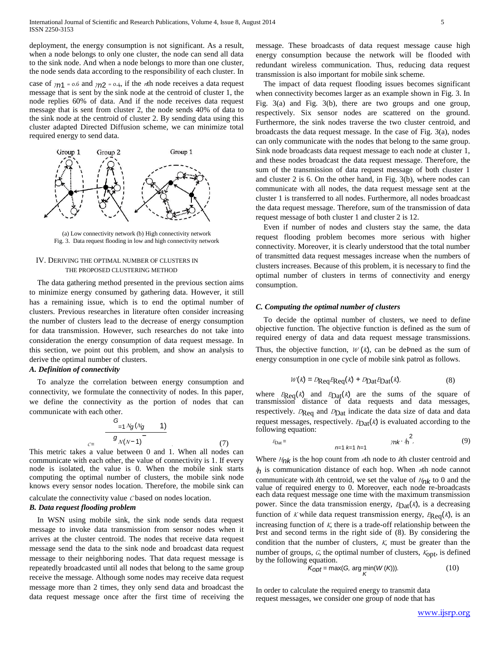deployment, the energy consumption is not significant. As a result, when a node belongs to only one cluster, the node can send all data to the sink node. And when a node belongs to more than one cluster, the node sends data according to the responsibility of each cluster. In

case of  $\gamma n$ 1 = 0.6 and  $\gamma n$ 2 = 0.4, if the *n*th node receives a data request message that is sent by the sink node at the centroid of cluster 1, the node replies 60% of data. And if the node receives data request message that is sent from cluster 2, the node sends 40% of data to the sink node at the centroid of cluster 2. By sending data using this cluster adapted Directed Diffusion scheme, we can minimize total required energy to send data.



(a) Low connectivity network (b) High connectivity network Fig. 3. Data request flooding in low and high connectivity network

# IV. DERIVING THE OPTIMAL NUMBER OF CLUSTERS IN THE PROPOSED CLUSTERING METHOD

The data gathering method presented in the previous section aims to minimize energy consumed by gathering data. However, it still has a remaining issue, which is to end the optimal number of clusters. Previous researches in literature often consider increasing the number of clusters lead to the decrease of energy consumption for data transmission. However, such researches do not take into consideration the energy consumption of data request message. In this section, we point out this problem, and show an analysis to derive the optimal number of clusters.

# *A. Definition of connectivity*

To analyze the correlation between energy consumption and connectivity, we formulate the connectivity of nodes. In this paper, we define the connectivity as the portion of nodes that can communicate with each other.

$$
\frac{G_{=1} N_g (N_g \t 1)}{g_{N(N-1)}} \tag{7}
$$

This metric takes a value between 0 and 1. When all nodes can communicate with each other, the value of connectivity is 1. If every node is isolated, the value is 0. When the mobile sink starts computing the optimal number of clusters, the mobile sink node knows every sensor nodes location. Therefore, the mobile sink can

calculate the connectivity value <sup>C</sup> based on nodes location.

# *B. Data request flooding problem*

 $C =$ 

In WSN using mobile sink, the sink node sends data request message to invoke data transmission from sensor nodes when it arrives at the cluster centroid. The nodes that receive data request message send the data to the sink node and broadcast data request message to their neighboring nodes. That data request message is repeatedly broadcasted until all nodes that belong to the same group receive the message. Although some nodes may receive data request message more than 2 times, they only send data and broadcast the data request message once after the first time of receiving the

message. These broadcasts of data request message cause high energy consumption because the network will be flooded with redundant wireless communication. Thus, reducing data request transmission is also important for mobile sink scheme.

The impact of data request flooding issues becomes significant when connectivity becomes larger as an example shown in Fig. 3. In Fig. 3(a) and Fig. 3(b), there are two groups and one group, respectively. Six sensor nodes are scattered on the ground. Furthermore, the sink nodes traverse the two cluster centroid, and broadcasts the data request message. In the case of Fig. 3(a), nodes can only communicate with the nodes that belong to the same group. Sink node broadcasts data request message to each node at cluster 1, and these nodes broadcast the data request message. Therefore, the sum of the transmission of data request message of both cluster 1 and cluster 2 is 6. On the other hand, in Fig. 3(b), where nodes can communicate with all nodes, the data request message sent at the cluster 1 is transferred to all nodes. Furthermore, all nodes broadcast the data request message. Therefore, sum of the transmission of data request message of both cluster 1 and cluster 2 is 12.

Even if number of nodes and clusters stay the same, the data request flooding problem becomes more serious with higher connectivity. Moreover, it is clearly understood that the total number of transmitted data request messages increase when the numbers of clusters increases. Because of this problem, it is necessary to find the optimal number of clusters in terms of connectivity and energy consumption.

#### *C. Computing the optimal number of clusters*

To decide the optimal number of clusters, we need to define objective function. The objective function is defined as the sum of required energy of data and data request message transmissions. Thus, the objective function,  $W(x)$ , can be deÞned as the sum of energy consumption in one cycle of mobile sink patrol as follows.

$$
W(\lambda) = D_{\text{Req}} E_{\text{Req}}(\lambda) + D_{\text{Det}} E_{\text{Det}}(\lambda), \tag{8}
$$

where  $E_{\text{Reg}}(\lambda)$  and  $E_{\text{Dat}}(\lambda)$  are the sums of the square of transmission distance of data requests and data messages, respectively.  $D_{\text{Reg}}$  and  $D_{\text{Dat}}$  indicate the data size of data and data request messages, respectively.  $E_{\text{Dat}}(\lambda)$  is evaluated according to the following equation:

$$
E_{\text{Dat}} = \frac{1}{n-1} k - 1 \frac{1}{n-1} \qquad \gamma n k \cdot \frac{1}{n},
$$
 (9)

Where  $H_{nk}$  is the hop count from  $n$ th node to  $k$ th cluster centroid and  $l$ h is communication distance of each hop. When  $n$ th node cannot communicate with kth centroid, we set the value of  $H_{n,k}$  to 0 and the value of required energy to 0. Moreover, each node re-broadcasts each data request message one time with the maximum transmission power. Since the data transmission energy,  $E_{\text{Dat}}(\lambda)$ , is a decreasing function of K while data request transmission energy,  $E_{\text{Reg}}(\lambda)$ , is an increasing function of  $K$ , there is a trade-off relationship between the Þrst and second terms in the right side of (8). By considering the condition that the number of clusters,  $K$ , must be greater than the number of groups,  $G$ , the optimal number of clusters,  $K_{\text{opt}}$ , is defined by the following equation.

$$
K_{\text{opt}} = \max(G, \arg\min_{K} (W(K))). \tag{10}
$$

In order to calculate the required energy to transmit data request messages, we consider one group of node that has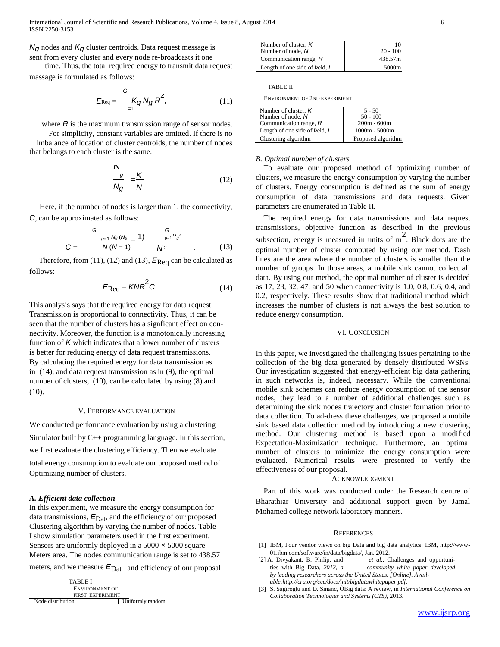$N<sub>q</sub>$  nodes and  $K<sub>q</sub>$  cluster centroids. Data request message is sent from every cluster and every node re-broadcasts it one

time. Thus, the total required energy to transmit data request massage is formulated as follows:

$$
E_{\text{Req}} = \int_{-1}^{G} K_{q} N_{q} R^{2}, \qquad (11)
$$

where *R* is the maximum transmission range of sensor nodes.

For simplicity, constant variables are omitted. If there is no imbalance of location of cluster centroids, the number of nodes that belongs to each cluster is the same.

$$
\frac{\kappa}{N_g} = \frac{K}{N}
$$
 (12)

Here, if the number of nodes is larger than 1, the connectivity, *C*, can be approximated as follows:

$$
G = \begin{pmatrix} G & G \\ G_{q=1} N_g (N_g - 1) & G_{q=1} N_g^2 \\ N(N-1) & N^2 & . \end{pmatrix}
$$
 (13)

Therefore, from (11), (12) and (13),  $E_{\text{Reg}}$  can be calculated as follows:

$$
E_{\text{Req}} = \text{KNR}^2 C. \tag{14}
$$

This analysis says that the required energy for data request Transmission is proportional to connectivity. Thus, it can be seen that the number of clusters has a signficant effect on connectivity. Moreover, the function is a monotonically increasing function of *K* which indicates that a lower number of clusters is better for reducing energy of data request transmissions. By calculating the required energy for data transmission as in (14), and data request transmission as in (9), the optimal number of clusters, (10), can be calculated by using (8) and (10).

#### V. PERFORMANCE EVALUATION

We conducted performance evaluation by using a clustering Simulator built by  $C_{++}$  programming language. In this section, we first evaluate the clustering efficiency. Then we evaluate total energy consumption to evaluate our proposed method of Optimizing number of clusters.

## *A. Efficient data collection*

In this experiment, we measure the energy consumption for data transmissions,  $E_{\text{Dat}}$ , and the efficiency of our proposed Clustering algorithm by varying the number of nodes. Table I show simulation parameters used in the first experiment. Sensors are uniformly deployed in a 5000 *×* 5000 square Meters area. The nodes communication range is set to 438.57

meters, and we measure  $E_{\text{Dat}}$  and efficiency of our proposal

| <b>TABLE I</b>        |                  |
|-----------------------|------------------|
| <b>ENVIRONMENT OF</b> |                  |
| FIRST EXPERIMENT      |                  |
| Node distribution     | Uniformly random |

| Number of cluster, $K$          | 10                |
|---------------------------------|-------------------|
| Number of node, N               | $20 - 100$        |
| Communication range, $R$        | 438.57m           |
| Length of one side of Peld, $L$ | 5000 <sub>m</sub> |

TABLE II

ENVIRONMENT OF 2ND EXPERIMENT

| Number of cluster, $K$<br>Number of node, N | $5 - 50$<br>$50 - 100$ |
|---------------------------------------------|------------------------|
| Communication range, $R$                    | $200m - 600m$          |
| Length of one side of Peld, L               | $1000m - 5000m$        |
| Clustering algorithm                        | Proposed algorithm     |

#### *B. Optimal number of clusters*

To evaluate our proposed method of optimizing number of clusters, we measure the energy consumption by varying the number of clusters. Energy consumption is defined as the sum of energy consumption of data transmissions and data requests. Given parameters are enumerated in Table II.

The required energy for data transmissions and data request transmissions, objective function as described in the previous subsection, energy is measured in units of  $m^2$ . Black dots are the optimal number of cluster computed by using our method. Dash lines are the area where the number of clusters is smaller than the number of groups. In those areas, a mobile sink cannot collect all data. By using our method, the optimal number of cluster is decided as 17, 23, 32, 47, and 50 when connectivity is 1.0, 0.8, 0.6, 0.4, and 0.2, respectively. These results show that traditional method which increases the number of clusters is not always the best solution to reduce energy consumption.

#### VI. CONCLUSION

In this paper, we investigated the challenging issues pertaining to the collection of the big data generated by densely distributed WSNs. Our investigation suggested that energy-efficient big data gathering in such networks is, indeed, necessary. While the conventional mobile sink schemes can reduce energy consumption of the sensor nodes, they lead to a number of additional challenges such as determining the sink nodes trajectory and cluster formation prior to data collection. To ad-dress these challenges, we proposed a mobile sink based data collection method by introducing a new clustering method. Our clustering method is based upon a modified Expectation-Maximization technique. Furthermore, an optimal number of clusters to minimize the energy consumption were evaluated. Numerical results were presented to verify the effectiveness of our proposal.

#### ACKNOWLEDGMENT

Part of this work was conducted under the Research centre of Bharathiar University and additional support given by Jamal Mohamed college network laboratory manners.

#### **REFERENCES**

- [1] IBM, Four vendor views on big Data and big data analytics: IBM, http://www-01.ibm.com/software/in/data/bigdata/, Jan. 2012.
- [2] A. Divyakant, B. Philip, and *et al.*, Challenges and opportunities with Big Data, *2012, a community white paper developed by leading researchers across the United States. [Online]. Available:http://cra.org/ccc/docs/init/bigdatawhitepaper.pdf*.
- [3] S. Sagiroglu and D. Sinanc, ÒBig data: A review, in *International Conference on Collaboration Technologies and Systems (CTS)*, 2013.